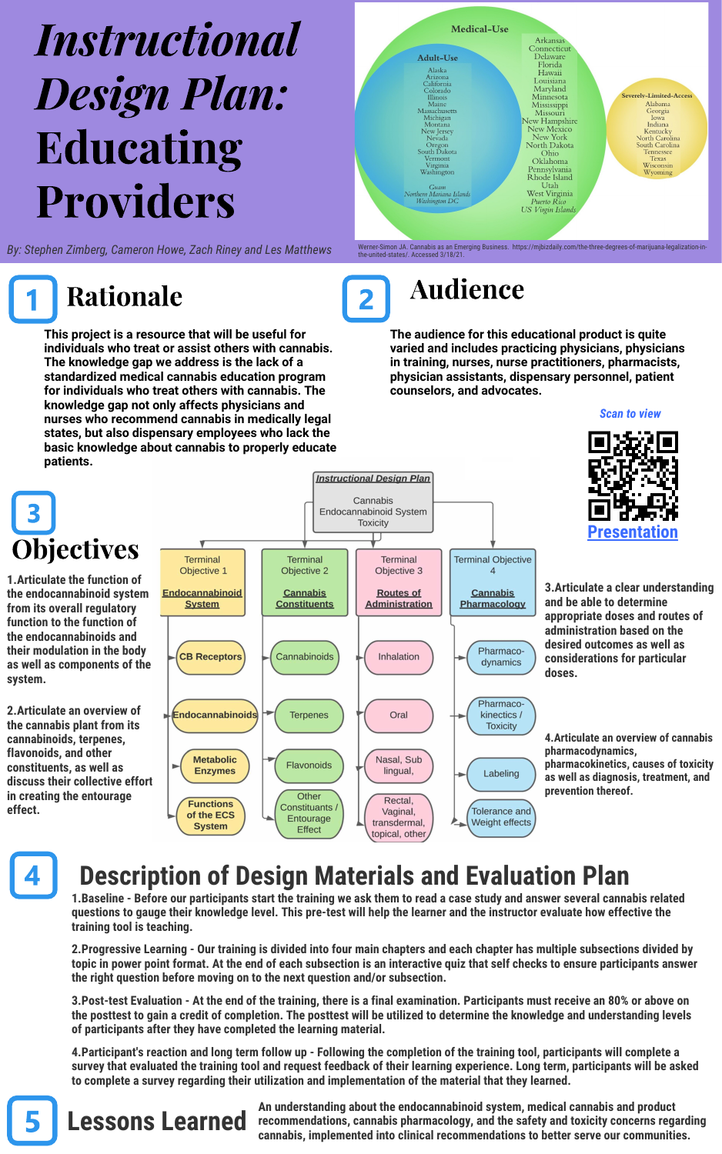# **Instructional** Design Plan: Educating Providers

*By: Stephen Zimberg, Cameron Howe, Zach Riney and Les Matthews*

**This project is a resource that will be useful for individuals who treat or assist others with cannabis. The knowledge gap we address is the lack of a standardized medical cannabis education program for individuals who treat others with cannabis. The knowledge gap not only affects physicians and nurses who recommend cannabis in medically legal states, but also dispensary employees who lack the basic knowledge about cannabis to properly educate patients.** 



Rationale **2** Audience

**The audience for this educational product is quite varied and includes practicing physicians, physicians in training, nurses, nurse practitioners, pharmacists, physician assistants, dispensary personnel, patient counselors, and advocates.**



**1.Articulate the function of the endocannabinoid system from its overall regulatory function to the function of the endocannabinoids and their modulation in the body as well as components of the system.**

**2.Articulate an overview of the cannabis plant from its cannabinoids, terpenes, flavonoids, and other constituents, as well as discuss their collective effort in creating the entourage effect.**



*Scan to view*



**3.Articulate a clear understanding and be able to determine appropriate doses and routes of administration based on the desired outcomes as well as considerations for particular doses.**

**4.Articulate an overview of cannabis pharmacodynamics, pharmacokinetics, causes of toxicity as well as diagnosis, treatment, and prevention thereof.**

# **Description of Design Materials and Evaluation Plan**

**1.Baseline - Before our participants start the training we ask them to read a case study and answer several cannabis related questions to gauge their knowledge level. This pre-test will help the learner and the instructor evaluate how effective the training tool is teaching.** 

**2.Progressive Learning - Our training is divided into four main chapters and each chapter has multiple subsections divided by topic in power point format. At the end of each subsection is an interactive quiz that self checks to ensure participants answer the right question before moving on to the next question and/or subsection.**

**3.Post-test Evaluation - At the end of the training, there is a final examination. Participants must receive an 80% or above on the posttest to gain a credit of completion. The posttest will be utilized to determine the knowledge and understanding levels of participants after they have completed the learning material.**

**4.Participant's reaction and long term follow up - Following the completion of the training tool, participants will complete a survey that evaluated the training tool and request feedback of their learning experience. Long term, participants will be asked to complete a survey regarding their utilization and implementation of the material that they learned.**



**Example 2 CHATTERS An** understanding about the endocannabinoid system, medical cannabis and product **recommendations, cannabis pharmacology, and the safety and toxicity concerns regarding cannabis, implemented into clinical recommendations to better serve our communities.**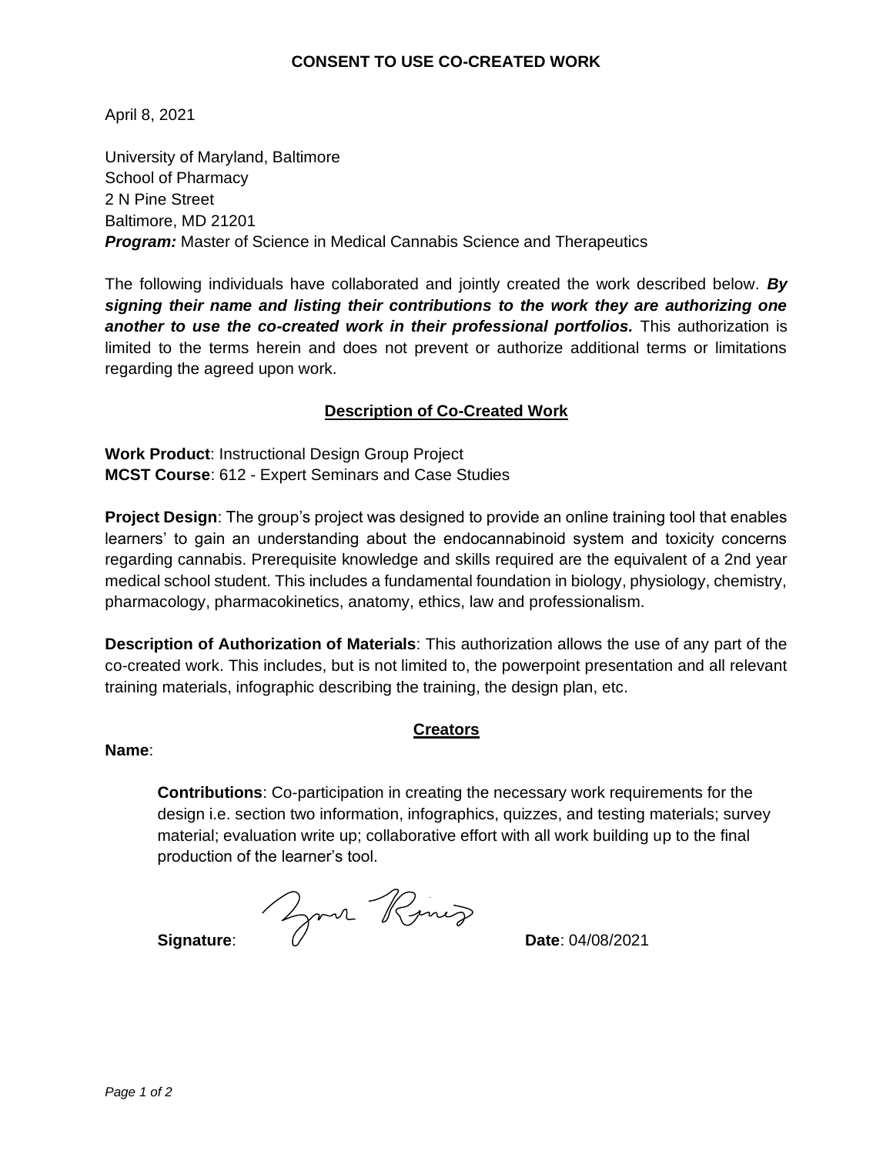## **CONSENT TO USE CO-CREATED WORK**

April 8, 2021

University of Maryland, Baltimore School of Pharmacy 2 N Pine Street Baltimore, MD 21201 *Program:* Master of Science in Medical Cannabis Science and Therapeutics

The following individuals have collaborated and jointly created the work described below. *By signing their name and listing their contributions to the work they are authorizing one*  **another to use the co-created work in their professional portfolios.** This authorization is limited to the terms herein and does not prevent or authorize additional terms or limitations regarding the agreed upon work.

## **Description of Co-Created Work**

**Work Product**: Instructional Design Group Project **MCST Course**: 612 - Expert Seminars and Case Studies

**Project Design**: The group's project was designed to provide an online training tool that enables learners' to gain an understanding about the endocannabinoid system and toxicity concerns regarding cannabis. Prerequisite knowledge and skills required are the equivalent of a 2nd year medical school student. This includes a fundamental foundation in biology, physiology, chemistry, pharmacology, pharmacokinetics, anatomy, ethics, law and professionalism.

**Description of Authorization of Materials**: This authorization allows the use of any part of the co-created work. This includes, but is not limited to, the powerpoint presentation and all relevant training materials, infographic describing the training, the design plan, etc.

#### **Creators**

#### **Name**:

**Contributions**: Co-participation in creating the necessary work requirements for the design i.e. section two information, infographics, quizzes, and testing materials; survey material; evaluation write up; collaborative effort with all work building up to the final production of the learner's tool.

**Signature: Date: 04/08/2021**